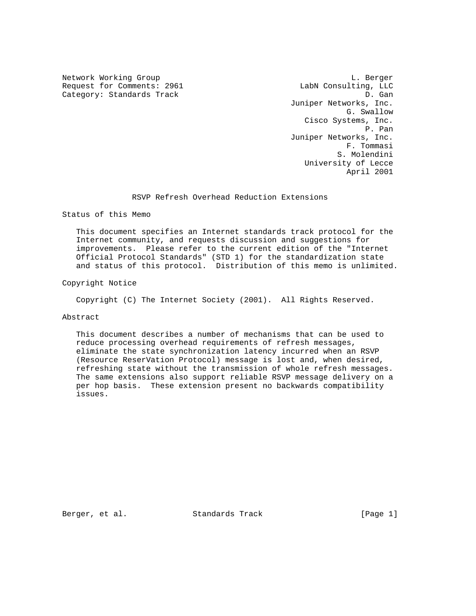Request for Comments: 2961 LabN Consulting, LLC Category: Standards Track D. Gan

Network Working Group and the contract of the contract of the contract of the contract of the contract of the contract of the contract of the contract of the contract of the contract of the contract of the contract of the Juniper Networks, Inc. G. Swallow Cisco Systems, Inc. P. Pan Juniper Networks, Inc. F. Tommasi S. Molendini University of Lecce April 2001

RSVP Refresh Overhead Reduction Extensions

Status of this Memo

 This document specifies an Internet standards track protocol for the Internet community, and requests discussion and suggestions for improvements. Please refer to the current edition of the "Internet Official Protocol Standards" (STD 1) for the standardization state and status of this protocol. Distribution of this memo is unlimited.

Copyright Notice

Copyright (C) The Internet Society (2001). All Rights Reserved.

# Abstract

 This document describes a number of mechanisms that can be used to reduce processing overhead requirements of refresh messages, eliminate the state synchronization latency incurred when an RSVP (Resource ReserVation Protocol) message is lost and, when desired, refreshing state without the transmission of whole refresh messages. The same extensions also support reliable RSVP message delivery on a per hop basis. These extension present no backwards compatibility issues.

Berger, et al. Standards Track [Page 1]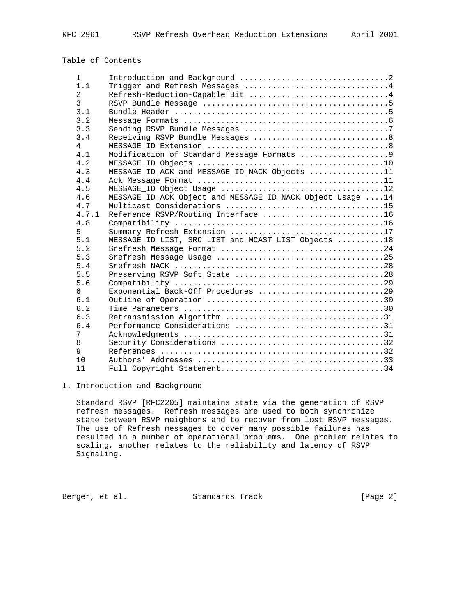# Table of Contents

| Trigger and Refresh Messages 4<br>1.1<br>$\mathfrak{D}$<br>Refresh-Reduction-Capable Bit 4<br>3<br>3.1<br>3.2<br>3.3<br>3.4<br>4<br>Modification of Standard Message Formats 9<br>4.1<br>4.2<br>MESSAGE_ID_ACK and MESSAGE_ID_NACK Objects 11<br>4.3<br>4.4<br>4.5<br>MESSAGE_ID_ACK Object and MESSAGE_ID_NACK Object Usage 14<br>4.6<br>4.7<br>Reference RSVP/Routing Interface 16<br>4.7.1<br>4.8<br>Summary Refresh Extension 17<br>5<br>MESSAGE_ID LIST, SRC_LIST and MCAST_LIST Objects 18<br>5.1<br>5.2<br>5.3<br>5.4<br>Preserving RSVP Soft State 28<br>5.5<br>5.6<br>Exponential Back-Off Procedures 29<br>6 |
|------------------------------------------------------------------------------------------------------------------------------------------------------------------------------------------------------------------------------------------------------------------------------------------------------------------------------------------------------------------------------------------------------------------------------------------------------------------------------------------------------------------------------------------------------------------------------------------------------------------------|
|                                                                                                                                                                                                                                                                                                                                                                                                                                                                                                                                                                                                                        |
|                                                                                                                                                                                                                                                                                                                                                                                                                                                                                                                                                                                                                        |
|                                                                                                                                                                                                                                                                                                                                                                                                                                                                                                                                                                                                                        |
|                                                                                                                                                                                                                                                                                                                                                                                                                                                                                                                                                                                                                        |
|                                                                                                                                                                                                                                                                                                                                                                                                                                                                                                                                                                                                                        |
|                                                                                                                                                                                                                                                                                                                                                                                                                                                                                                                                                                                                                        |
|                                                                                                                                                                                                                                                                                                                                                                                                                                                                                                                                                                                                                        |
|                                                                                                                                                                                                                                                                                                                                                                                                                                                                                                                                                                                                                        |
|                                                                                                                                                                                                                                                                                                                                                                                                                                                                                                                                                                                                                        |
|                                                                                                                                                                                                                                                                                                                                                                                                                                                                                                                                                                                                                        |
|                                                                                                                                                                                                                                                                                                                                                                                                                                                                                                                                                                                                                        |
|                                                                                                                                                                                                                                                                                                                                                                                                                                                                                                                                                                                                                        |
|                                                                                                                                                                                                                                                                                                                                                                                                                                                                                                                                                                                                                        |
|                                                                                                                                                                                                                                                                                                                                                                                                                                                                                                                                                                                                                        |
|                                                                                                                                                                                                                                                                                                                                                                                                                                                                                                                                                                                                                        |
|                                                                                                                                                                                                                                                                                                                                                                                                                                                                                                                                                                                                                        |
|                                                                                                                                                                                                                                                                                                                                                                                                                                                                                                                                                                                                                        |
|                                                                                                                                                                                                                                                                                                                                                                                                                                                                                                                                                                                                                        |
|                                                                                                                                                                                                                                                                                                                                                                                                                                                                                                                                                                                                                        |
|                                                                                                                                                                                                                                                                                                                                                                                                                                                                                                                                                                                                                        |
|                                                                                                                                                                                                                                                                                                                                                                                                                                                                                                                                                                                                                        |
|                                                                                                                                                                                                                                                                                                                                                                                                                                                                                                                                                                                                                        |
|                                                                                                                                                                                                                                                                                                                                                                                                                                                                                                                                                                                                                        |
|                                                                                                                                                                                                                                                                                                                                                                                                                                                                                                                                                                                                                        |
|                                                                                                                                                                                                                                                                                                                                                                                                                                                                                                                                                                                                                        |
| 6.1                                                                                                                                                                                                                                                                                                                                                                                                                                                                                                                                                                                                                    |
| 6.2                                                                                                                                                                                                                                                                                                                                                                                                                                                                                                                                                                                                                    |
| 6.3<br>Retransmission Algorithm 31                                                                                                                                                                                                                                                                                                                                                                                                                                                                                                                                                                                     |
| Performance Considerations 31<br>6.4                                                                                                                                                                                                                                                                                                                                                                                                                                                                                                                                                                                   |
| 7                                                                                                                                                                                                                                                                                                                                                                                                                                                                                                                                                                                                                      |
| 8                                                                                                                                                                                                                                                                                                                                                                                                                                                                                                                                                                                                                      |
| 9                                                                                                                                                                                                                                                                                                                                                                                                                                                                                                                                                                                                                      |
| 10                                                                                                                                                                                                                                                                                                                                                                                                                                                                                                                                                                                                                     |
| 11                                                                                                                                                                                                                                                                                                                                                                                                                                                                                                                                                                                                                     |

# 1. Introduction and Background

 Standard RSVP [RFC2205] maintains state via the generation of RSVP refresh messages. Refresh messages are used to both synchronize state between RSVP neighbors and to recover from lost RSVP messages. The use of Refresh messages to cover many possible failures has resulted in a number of operational problems. One problem relates to scaling, another relates to the reliability and latency of RSVP Signaling.

Berger, et al. Standards Track [Page 2]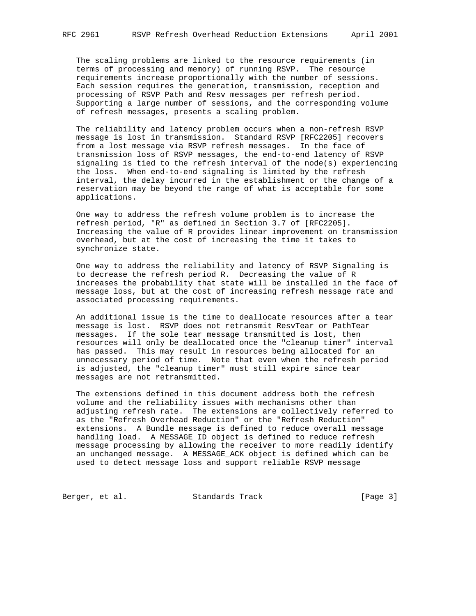The scaling problems are linked to the resource requirements (in terms of processing and memory) of running RSVP. The resource requirements increase proportionally with the number of sessions. Each session requires the generation, transmission, reception and processing of RSVP Path and Resv messages per refresh period. Supporting a large number of sessions, and the corresponding volume of refresh messages, presents a scaling problem.

 The reliability and latency problem occurs when a non-refresh RSVP message is lost in transmission. Standard RSVP [RFC2205] recovers from a lost message via RSVP refresh messages. In the face of transmission loss of RSVP messages, the end-to-end latency of RSVP signaling is tied to the refresh interval of the node(s) experiencing the loss. When end-to-end signaling is limited by the refresh interval, the delay incurred in the establishment or the change of a reservation may be beyond the range of what is acceptable for some applications.

 One way to address the refresh volume problem is to increase the refresh period, "R" as defined in Section 3.7 of [RFC2205]. Increasing the value of R provides linear improvement on transmission overhead, but at the cost of increasing the time it takes to synchronize state.

 One way to address the reliability and latency of RSVP Signaling is to decrease the refresh period R. Decreasing the value of R increases the probability that state will be installed in the face of message loss, but at the cost of increasing refresh message rate and associated processing requirements.

 An additional issue is the time to deallocate resources after a tear message is lost. RSVP does not retransmit ResvTear or PathTear messages. If the sole tear message transmitted is lost, then resources will only be deallocated once the "cleanup timer" interval has passed. This may result in resources being allocated for an unnecessary period of time. Note that even when the refresh period is adjusted, the "cleanup timer" must still expire since tear messages are not retransmitted.

 The extensions defined in this document address both the refresh volume and the reliability issues with mechanisms other than adjusting refresh rate. The extensions are collectively referred to as the "Refresh Overhead Reduction" or the "Refresh Reduction" extensions. A Bundle message is defined to reduce overall message handling load. A MESSAGE\_ID object is defined to reduce refresh message processing by allowing the receiver to more readily identify an unchanged message. A MESSAGE\_ACK object is defined which can be used to detect message loss and support reliable RSVP message

Berger, et al. Standards Track [Page 3]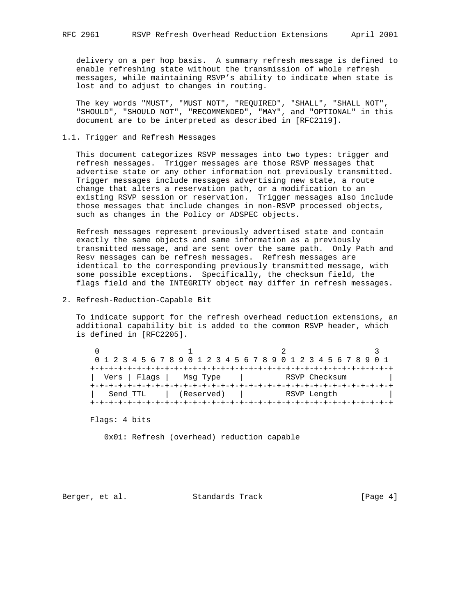delivery on a per hop basis. A summary refresh message is defined to enable refreshing state without the transmission of whole refresh messages, while maintaining RSVP's ability to indicate when state is lost and to adjust to changes in routing.

 The key words "MUST", "MUST NOT", "REQUIRED", "SHALL", "SHALL NOT", "SHOULD", "SHOULD NOT", "RECOMMENDED", "MAY", and "OPTIONAL" in this document are to be interpreted as described in [RFC2119].

# 1.1. Trigger and Refresh Messages

 This document categorizes RSVP messages into two types: trigger and refresh messages. Trigger messages are those RSVP messages that advertise state or any other information not previously transmitted. Trigger messages include messages advertising new state, a route change that alters a reservation path, or a modification to an existing RSVP session or reservation. Trigger messages also include those messages that include changes in non-RSVP processed objects, such as changes in the Policy or ADSPEC objects.

 Refresh messages represent previously advertised state and contain exactly the same objects and same information as a previously transmitted message, and are sent over the same path. Only Path and Resv messages can be refresh messages. Refresh messages are identical to the corresponding previously transmitted message, with some possible exceptions. Specifically, the checksum field, the flags field and the INTEGRITY object may differ in refresh messages.

2. Refresh-Reduction-Capable Bit

 To indicate support for the refresh overhead reduction extensions, an additional capability bit is added to the common RSVP header, which is defined in [RFC2205].

|          |                            | 0 1 2 3 4 5 6 7 8 9 0 1 2 3 4 5 6 7 8 9 0 1 2 3 4 5 6 7 8 9 0 1 |  |
|----------|----------------------------|-----------------------------------------------------------------|--|
|          |                            |                                                                 |  |
|          | Vers   Flags  <br>Msq Type | RSVP Checksum                                                   |  |
|          |                            |                                                                 |  |
| Send TTL | (Reserved)                 | RSVP Length                                                     |  |
|          |                            |                                                                 |  |

Flags: 4 bits

0x01: Refresh (overhead) reduction capable

Berger, et al. Standards Track [Page 4]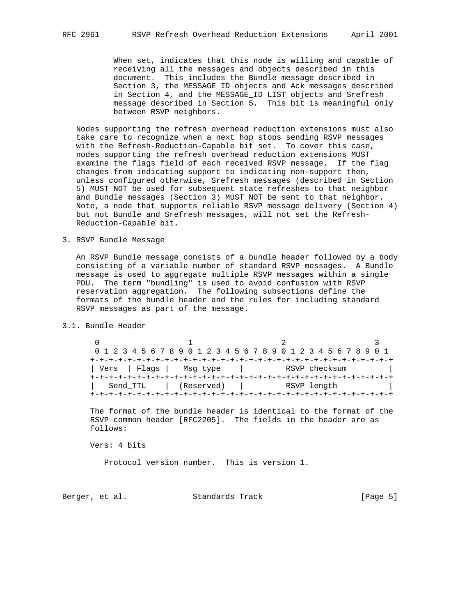When set, indicates that this node is willing and capable of receiving all the messages and objects described in this document. This includes the Bundle message described in Section 3, the MESSAGE\_ID objects and Ack messages described in Section 4, and the MESSAGE\_ID LIST objects and Srefresh message described in Section 5. This bit is meaningful only between RSVP neighbors.

 Nodes supporting the refresh overhead reduction extensions must also take care to recognize when a next hop stops sending RSVP messages with the Refresh-Reduction-Capable bit set. To cover this case, nodes supporting the refresh overhead reduction extensions MUST examine the flags field of each received RSVP message. If the flag changes from indicating support to indicating non-support then, unless configured otherwise, Srefresh messages (described in Section 5) MUST NOT be used for subsequent state refreshes to that neighbor and Bundle messages (Section 3) MUST NOT be sent to that neighbor. Note, a node that supports reliable RSVP message delivery (Section 4) but not Bundle and Srefresh messages, will not set the Refresh- Reduction-Capable bit.

3. RSVP Bundle Message

 An RSVP Bundle message consists of a bundle header followed by a body consisting of a variable number of standard RSVP messages. A Bundle message is used to aggregate multiple RSVP messages within a single PDU. The term "bundling" is used to avoid confusion with RSVP reservation aggregation. The following subsections define the formats of the bundle header and the rules for including standard RSVP messages as part of the message.

3.1. Bundle Header

 $0$  1 2 3 0 1 2 3 4 5 6 7 8 9 0 1 2 3 4 5 6 7 8 9 0 1 2 3 4 5 6 7 8 9 0 1 +-+-+-+-+-+-+-+-+-+-+-+-+-+-+-+-+-+-+-+-+-+-+-+-+-+-+-+-+-+-+-+-+ | Vers | Flags | Msg type | RSVP checksum +-+-+-+-+-+-+-+-+-+-+-+-+-+-+-+-+-+-+-+-+-+-+-+-+-+-+-+-+-+-+-+-+ Send\_TTL | (Reserved) | RSVP length +-+-+-+-+-+-+-+-+-+-+-+-+-+-+-+-+-+-+-+-+-+-+-+-+-+-+-+-+-+-+-+-+

 The format of the bundle header is identical to the format of the RSVP common header [RFC2205]. The fields in the header are as follows:

Vers: 4 bits

Protocol version number. This is version 1.

Berger, et al. Standards Track [Page 5]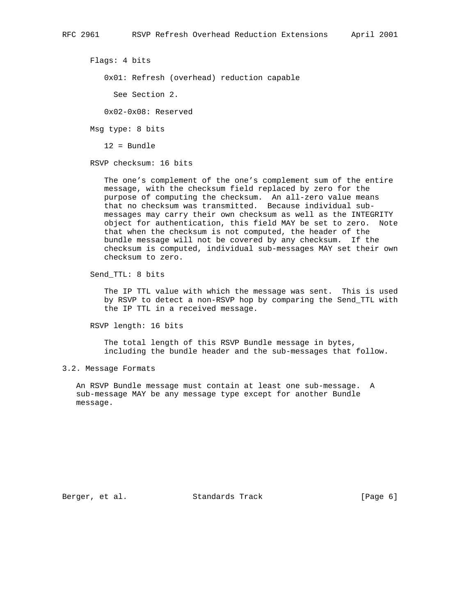Flags: 4 bits

0x01: Refresh (overhead) reduction capable

See Section 2.

0x02-0x08: Reserved

Msg type: 8 bits

12 = Bundle

RSVP checksum: 16 bits

 The one's complement of the one's complement sum of the entire message, with the checksum field replaced by zero for the purpose of computing the checksum. An all-zero value means that no checksum was transmitted. Because individual sub messages may carry their own checksum as well as the INTEGRITY object for authentication, this field MAY be set to zero. Note that when the checksum is not computed, the header of the bundle message will not be covered by any checksum. If the checksum is computed, individual sub-messages MAY set their own checksum to zero.

Send\_TTL: 8 bits

 The IP TTL value with which the message was sent. This is used by RSVP to detect a non-RSVP hop by comparing the Send\_TTL with the IP TTL in a received message.

RSVP length: 16 bits

 The total length of this RSVP Bundle message in bytes, including the bundle header and the sub-messages that follow.

3.2. Message Formats

 An RSVP Bundle message must contain at least one sub-message. A sub-message MAY be any message type except for another Bundle message.

Berger, et al. Standards Track [Page 6]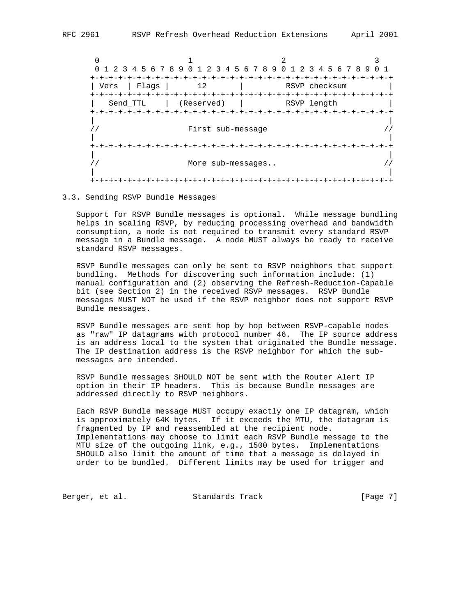$0$  1 2 3 0 1 2 3 4 5 6 7 8 9 0 1 2 3 4 5 6 7 8 9 0 1 2 3 4 5 6 7 8 9 0 1 +-+-+-+-+-+-+-+-+-+-+-+-+-+-+-+-+-+-+-+-+-+-+-+-+-+-+-+-+-+-+-+-+ | Vers | Flags | 12 | RSVP checksum +-+-+-+-+-+-+-+-+-+-+-+-+-+-+-+-+-+-+-+-+-+-+-+-+-+-+-+-+-+-+-+-+ | Send\_TTL | (Reserved) | RSVP length | +-+-+-+-+-+-+-+-+-+-+-+-+-+-+-+-+-+-+-+-+-+-+-+-+-+-+-+-+-+-+-+-+ | | // First sub-message // | | +-+-+-+-+-+-+-+-+-+-+-+-+-+-+-+-+-+-+-+-+-+-+-+-+-+-+-+-+-+-+-+-+ | | // More sub-messages.. // | | +-+-+-+-+-+-+-+-+-+-+-+-+-+-+-+-+-+-+-+-+-+-+-+-+-+-+-+-+-+-+-+-+

3.3. Sending RSVP Bundle Messages

 Support for RSVP Bundle messages is optional. While message bundling helps in scaling RSVP, by reducing processing overhead and bandwidth consumption, a node is not required to transmit every standard RSVP message in a Bundle message. A node MUST always be ready to receive standard RSVP messages.

 RSVP Bundle messages can only be sent to RSVP neighbors that support bundling. Methods for discovering such information include: (1) manual configuration and (2) observing the Refresh-Reduction-Capable bit (see Section 2) in the received RSVP messages. RSVP Bundle messages MUST NOT be used if the RSVP neighbor does not support RSVP Bundle messages.

 RSVP Bundle messages are sent hop by hop between RSVP-capable nodes as "raw" IP datagrams with protocol number 46. The IP source address is an address local to the system that originated the Bundle message. The IP destination address is the RSVP neighbor for which the sub messages are intended.

 RSVP Bundle messages SHOULD NOT be sent with the Router Alert IP option in their IP headers. This is because Bundle messages are addressed directly to RSVP neighbors.

 Each RSVP Bundle message MUST occupy exactly one IP datagram, which is approximately 64K bytes. If it exceeds the MTU, the datagram is fragmented by IP and reassembled at the recipient node. Implementations may choose to limit each RSVP Bundle message to the MTU size of the outgoing link, e.g., 1500 bytes. Implementations SHOULD also limit the amount of time that a message is delayed in order to be bundled. Different limits may be used for trigger and

Berger, et al. Standards Track (Page 7)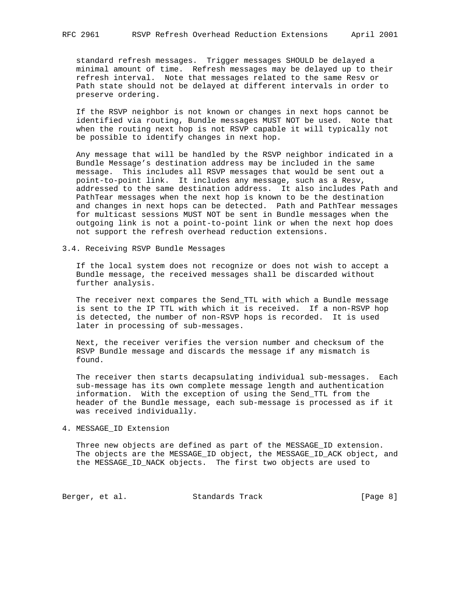standard refresh messages. Trigger messages SHOULD be delayed a minimal amount of time. Refresh messages may be delayed up to their refresh interval. Note that messages related to the same Resv or Path state should not be delayed at different intervals in order to preserve ordering.

 If the RSVP neighbor is not known or changes in next hops cannot be identified via routing, Bundle messages MUST NOT be used. Note that when the routing next hop is not RSVP capable it will typically not be possible to identify changes in next hop.

 Any message that will be handled by the RSVP neighbor indicated in a Bundle Message's destination address may be included in the same message. This includes all RSVP messages that would be sent out a point-to-point link. It includes any message, such as a Resv, addressed to the same destination address. It also includes Path and PathTear messages when the next hop is known to be the destination and changes in next hops can be detected. Path and PathTear messages for multicast sessions MUST NOT be sent in Bundle messages when the outgoing link is not a point-to-point link or when the next hop does not support the refresh overhead reduction extensions.

### 3.4. Receiving RSVP Bundle Messages

 If the local system does not recognize or does not wish to accept a Bundle message, the received messages shall be discarded without further analysis.

 The receiver next compares the Send\_TTL with which a Bundle message is sent to the IP TTL with which it is received. If a non-RSVP hop is detected, the number of non-RSVP hops is recorded. It is used later in processing of sub-messages.

 Next, the receiver verifies the version number and checksum of the RSVP Bundle message and discards the message if any mismatch is found.

 The receiver then starts decapsulating individual sub-messages. Each sub-message has its own complete message length and authentication information. With the exception of using the Send\_TTL from the header of the Bundle message, each sub-message is processed as if it was received individually.

4. MESSAGE\_ID Extension

 Three new objects are defined as part of the MESSAGE\_ID extension. The objects are the MESSAGE\_ID object, the MESSAGE\_ID\_ACK object, and the MESSAGE\_ID\_NACK objects. The first two objects are used to

Berger, et al. Standards Track [Page 8]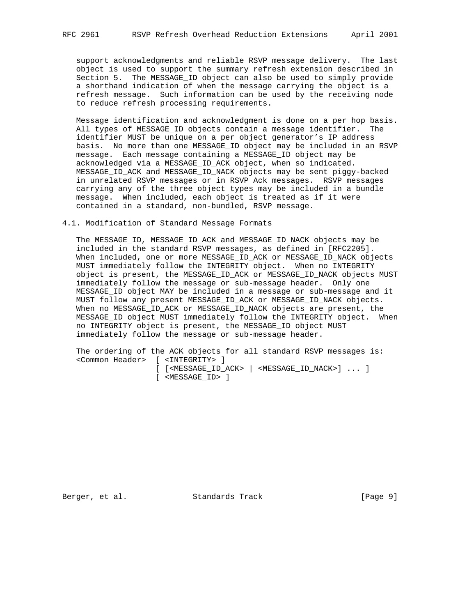support acknowledgments and reliable RSVP message delivery. The last object is used to support the summary refresh extension described in Section 5. The MESSAGE\_ID object can also be used to simply provide a shorthand indication of when the message carrying the object is a refresh message. Such information can be used by the receiving node to reduce refresh processing requirements.

 Message identification and acknowledgment is done on a per hop basis. All types of MESSAGE\_ID objects contain a message identifier. The identifier MUST be unique on a per object generator's IP address basis. No more than one MESSAGE\_ID object may be included in an RSVP message. Each message containing a MESSAGE\_ID object may be acknowledged via a MESSAGE\_ID\_ACK object, when so indicated. MESSAGE\_ID\_ACK and MESSAGE\_ID\_NACK objects may be sent piggy-backed in unrelated RSVP messages or in RSVP Ack messages. RSVP messages carrying any of the three object types may be included in a bundle message. When included, each object is treated as if it were contained in a standard, non-bundled, RSVP message.

# 4.1. Modification of Standard Message Formats

 The MESSAGE\_ID, MESSAGE\_ID\_ACK and MESSAGE\_ID\_NACK objects may be included in the standard RSVP messages, as defined in [RFC2205]. When included, one or more MESSAGE\_ID\_ACK or MESSAGE\_ID\_NACK objects MUST immediately follow the INTEGRITY object. When no INTEGRITY object is present, the MESSAGE\_ID\_ACK or MESSAGE\_ID\_NACK objects MUST immediately follow the message or sub-message header. Only one MESSAGE\_ID object MAY be included in a message or sub-message and it MUST follow any present MESSAGE\_ID\_ACK or MESSAGE\_ID\_NACK objects. When no MESSAGE\_ID\_ACK or MESSAGE\_ID\_NACK objects are present, the MESSAGE ID object MUST immediately follow the INTEGRITY object. When no INTEGRITY object is present, the MESSAGE\_ID object MUST immediately follow the message or sub-message header.

 The ordering of the ACK objects for all standard RSVP messages is: <Common Header> [ <INTEGRITY> ] [ [<MESSAGE\_ID\_ACK> | <MESSAGE\_ID\_NACK>] ... ] [ <MESSAGE\_ID> ]

Berger, et al. Standards Track [Page 9]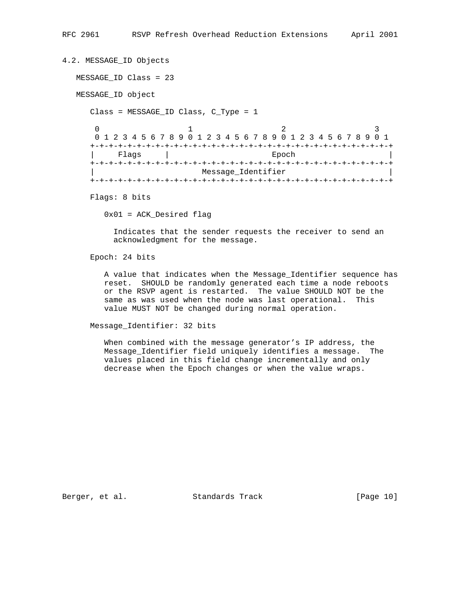```
4.2. MESSAGE_ID Objects
   MESSAGE_ID Class = 23
   MESSAGE_ID object
     Class = MESSAGE_ID Class, C_Type = 1
0 1 2 3
      0 1 2 3 4 5 6 7 8 9 0 1 2 3 4 5 6 7 8 9 0 1 2 3 4 5 6 7 8 9 0 1
      +-+-+-+-+-+-+-+-+-+-+-+-+-+-+-+-+-+-+-+-+-+-+-+-+-+-+-+-+-+-+-+-+
        Flags | Epoch
      +-+-+-+-+-+-+-+-+-+-+-+-+-+-+-+-+-+-+-+-+-+-+-+-+-+-+-+-+-+-+-+-+
                        Message_Identifier
      +-+-+-+-+-+-+-+-+-+-+-+-+-+-+-+-+-+-+-+-+-+-+-+-+-+-+-+-+-+-+-+-+
     Flags: 8 bits
```
0x01 = ACK\_Desired flag

 Indicates that the sender requests the receiver to send an acknowledgment for the message.

Epoch: 24 bits

 A value that indicates when the Message\_Identifier sequence has reset. SHOULD be randomly generated each time a node reboots or the RSVP agent is restarted. The value SHOULD NOT be the same as was used when the node was last operational. This value MUST NOT be changed during normal operation.

Message\_Identifier: 32 bits

 When combined with the message generator's IP address, the Message\_Identifier field uniquely identifies a message. The values placed in this field change incrementally and only decrease when the Epoch changes or when the value wraps.

Berger, et al. Standards Track [Page 10]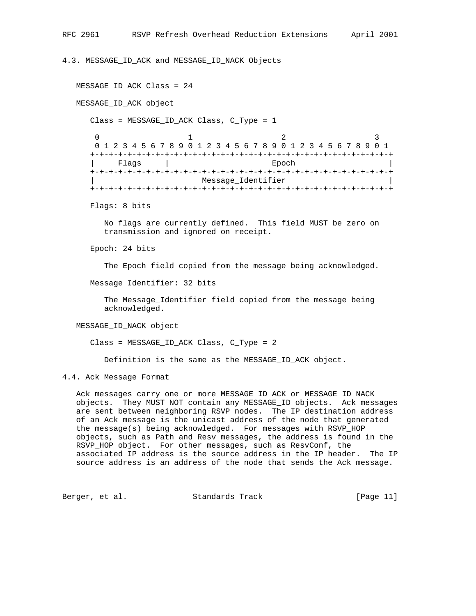4.3. MESSAGE\_ID\_ACK and MESSAGE\_ID\_NACK Objects

```
MESSAGE ID ACK Class = 24
   MESSAGE_ID_ACK object
      Class = MESSAGE_ID_ACK Class, C_Type = 1
0 1 2 3
      0 1 2 3 4 5 6 7 8 9 0 1 2 3 4 5 6 7 8 9 0 1 2 3 4 5 6 7 8 9 0 1
      +-+-+-+-+-+-+-+-+-+-+-+-+-+-+-+-+-+-+-+-+-+-+-+-+-+-+-+-+-+-+-+-+
         Flags | Epoch
      +-+-+-+-+-+-+-+-+-+-+-+-+-+-+-+-+-+-+-+-+-+-+-+-+-+-+-+-+-+-+-+-+
                          Message_Identifier
      +-+-+-+-+-+-+-+-+-+-+-+-+-+-+-+-+-+-+-+-+-+-+-+-+-+-+-+-+-+-+-+-+
      Flags: 8 bits
        No flags are currently defined. This field MUST be zero on
         transmission and ignored on receipt.
      Epoch: 24 bits
         The Epoch field copied from the message being acknowledged.
      Message_Identifier: 32 bits
         The Message_Identifier field copied from the message being
         acknowledged.
   MESSAGE_ID_NACK object
      Class = MESSAGE_ID_ACK Class, C_Type = 2
         Definition is the same as the MESSAGE_ID_ACK object.
```
4.4. Ack Message Format

 Ack messages carry one or more MESSAGE\_ID\_ACK or MESSAGE\_ID\_NACK objects. They MUST NOT contain any MESSAGE\_ID objects. Ack messages are sent between neighboring RSVP nodes. The IP destination address of an Ack message is the unicast address of the node that generated the message(s) being acknowledged. For messages with RSVP\_HOP objects, such as Path and Resv messages, the address is found in the RSVP\_HOP object. For other messages, such as ResvConf, the associated IP address is the source address in the IP header. The IP source address is an address of the node that sends the Ack message.

Berger, et al. Standards Track [Page 11]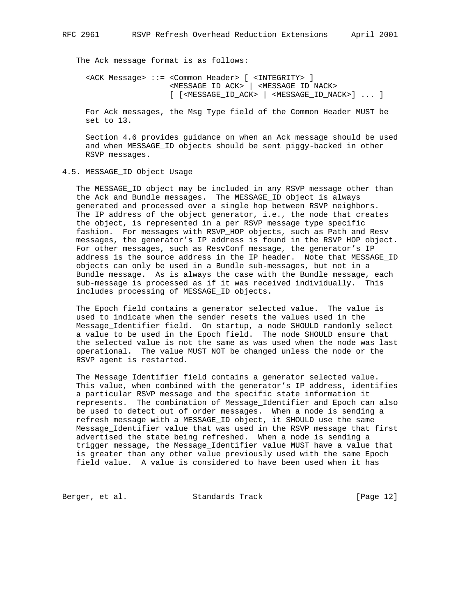The Ack message format is as follows:

 <ACK Message> ::= <Common Header> [ <INTEGRITY> ] <MESSAGE\_ID\_ACK> | <MESSAGE\_ID\_NACK> [ [<MESSAGE\_ID\_ACK> | <MESSAGE\_ID\_NACK>] ... ]

 For Ack messages, the Msg Type field of the Common Header MUST be set to 13.

 Section 4.6 provides guidance on when an Ack message should be used and when MESSAGE\_ID objects should be sent piggy-backed in other RSVP messages.

4.5. MESSAGE\_ID Object Usage

 The MESSAGE\_ID object may be included in any RSVP message other than the Ack and Bundle messages. The MESSAGE\_ID object is always generated and processed over a single hop between RSVP neighbors. The IP address of the object generator, i.e., the node that creates the object, is represented in a per RSVP message type specific fashion. For messages with RSVP\_HOP objects, such as Path and Resv messages, the generator's IP address is found in the RSVP\_HOP object. For other messages, such as ResvConf message, the generator's IP address is the source address in the IP header. Note that MESSAGE\_ID objects can only be used in a Bundle sub-messages, but not in a Bundle message. As is always the case with the Bundle message, each sub-message is processed as if it was received individually. This includes processing of MESSAGE\_ID objects.

 The Epoch field contains a generator selected value. The value is used to indicate when the sender resets the values used in the Message\_Identifier field. On startup, a node SHOULD randomly select a value to be used in the Epoch field. The node SHOULD ensure that the selected value is not the same as was used when the node was last operational. The value MUST NOT be changed unless the node or the RSVP agent is restarted.

 The Message\_Identifier field contains a generator selected value. This value, when combined with the generator's IP address, identifies a particular RSVP message and the specific state information it represents. The combination of Message\_Identifier and Epoch can also be used to detect out of order messages. When a node is sending a refresh message with a MESSAGE\_ID object, it SHOULD use the same Message\_Identifier value that was used in the RSVP message that first advertised the state being refreshed. When a node is sending a trigger message, the Message\_Identifier value MUST have a value that is greater than any other value previously used with the same Epoch field value. A value is considered to have been used when it has

Berger, et al. Standards Track [Page 12]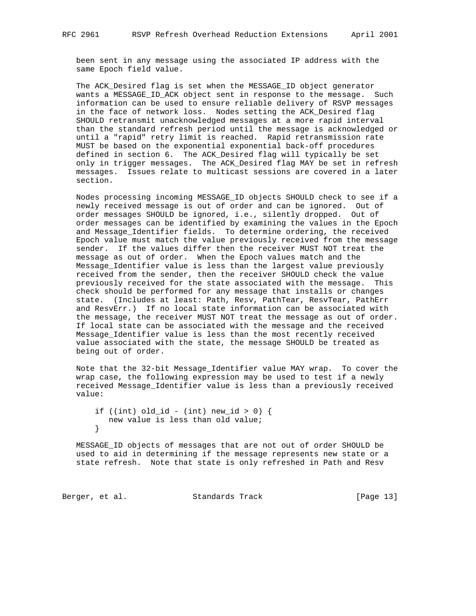been sent in any message using the associated IP address with the same Epoch field value.

 The ACK\_Desired flag is set when the MESSAGE\_ID object generator wants a MESSAGE\_ID\_ACK object sent in response to the message. Such information can be used to ensure reliable delivery of RSVP messages in the face of network loss. Nodes setting the ACK\_Desired flag SHOULD retransmit unacknowledged messages at a more rapid interval than the standard refresh period until the message is acknowledged or until a "rapid" retry limit is reached. Rapid retransmission rate MUST be based on the exponential exponential back-off procedures defined in section 6. The ACK\_Desired flag will typically be set only in trigger messages. The ACK\_Desired flag MAY be set in refresh messages. Issues relate to multicast sessions are covered in a later section.

 Nodes processing incoming MESSAGE\_ID objects SHOULD check to see if a newly received message is out of order and can be ignored. Out of order messages SHOULD be ignored, i.e., silently dropped. Out of order messages can be identified by examining the values in the Epoch and Message\_Identifier fields. To determine ordering, the received Epoch value must match the value previously received from the message sender. If the values differ then the receiver MUST NOT treat the message as out of order. When the Epoch values match and the Message\_Identifier value is less than the largest value previously received from the sender, then the receiver SHOULD check the value previously received for the state associated with the message. This check should be performed for any message that installs or changes state. (Includes at least: Path, Resv, PathTear, ResvTear, PathErr and ResvErr.) If no local state information can be associated with the message, the receiver MUST NOT treat the message as out of order. If local state can be associated with the message and the received Message\_Identifier value is less than the most recently received value associated with the state, the message SHOULD be treated as being out of order.

 Note that the 32-bit Message\_Identifier value MAY wrap. To cover the wrap case, the following expression may be used to test if a newly received Message\_Identifier value is less than a previously received value:

```
if ((int) old_id - (int) new_id > 0) {
  new value is less than old value;
 }
```
 MESSAGE\_ID objects of messages that are not out of order SHOULD be used to aid in determining if the message represents new state or a state refresh. Note that state is only refreshed in Path and Resv

Berger, et al. Standards Track [Page 13]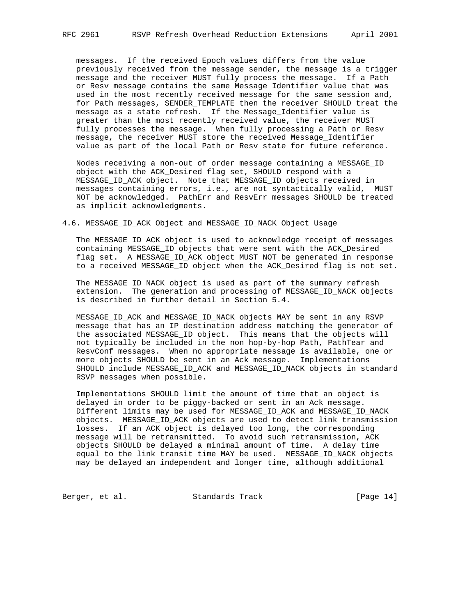messages. If the received Epoch values differs from the value previously received from the message sender, the message is a trigger message and the receiver MUST fully process the message. If a Path or Resv message contains the same Message\_Identifier value that was used in the most recently received message for the same session and, for Path messages, SENDER\_TEMPLATE then the receiver SHOULD treat the message as a state refresh. If the Message\_Identifier value is greater than the most recently received value, the receiver MUST fully processes the message. When fully processing a Path or Resv message, the receiver MUST store the received Message\_Identifier value as part of the local Path or Resv state for future reference.

 Nodes receiving a non-out of order message containing a MESSAGE\_ID object with the ACK\_Desired flag set, SHOULD respond with a MESSAGE\_ID\_ACK object. Note that MESSAGE\_ID objects received in messages containing errors, i.e., are not syntactically valid, MUST NOT be acknowledged. PathErr and ResvErr messages SHOULD be treated as implicit acknowledgments.

# 4.6. MESSAGE\_ID\_ACK Object and MESSAGE\_ID\_NACK Object Usage

 The MESSAGE\_ID\_ACK object is used to acknowledge receipt of messages containing MESSAGE\_ID objects that were sent with the ACK\_Desired flag set. A MESSAGE\_ID\_ACK object MUST NOT be generated in response to a received MESSAGE\_ID object when the ACK\_Desired flag is not set.

 The MESSAGE\_ID\_NACK object is used as part of the summary refresh extension. The generation and processing of MESSAGE\_ID\_NACK objects is described in further detail in Section 5.4.

MESSAGE ID ACK and MESSAGE ID NACK objects MAY be sent in any RSVP message that has an IP destination address matching the generator of the associated MESSAGE\_ID object. This means that the objects will not typically be included in the non hop-by-hop Path, PathTear and ResvConf messages. When no appropriate message is available, one or more objects SHOULD be sent in an Ack message. Implementations SHOULD include MESSAGE\_ID\_ACK and MESSAGE\_ID\_NACK objects in standard RSVP messages when possible.

 Implementations SHOULD limit the amount of time that an object is delayed in order to be piggy-backed or sent in an Ack message. Different limits may be used for MESSAGE\_ID\_ACK and MESSAGE\_ID\_NACK objects. MESSAGE\_ID\_ACK objects are used to detect link transmission losses. If an ACK object is delayed too long, the corresponding message will be retransmitted. To avoid such retransmission, ACK objects SHOULD be delayed a minimal amount of time. A delay time equal to the link transit time MAY be used. MESSAGE\_ID\_NACK objects may be delayed an independent and longer time, although additional

Berger, et al. Standards Track [Page 14]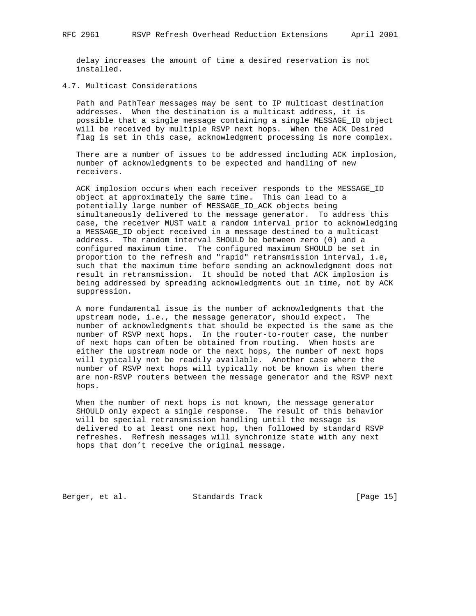delay increases the amount of time a desired reservation is not installed.

# 4.7. Multicast Considerations

 Path and PathTear messages may be sent to IP multicast destination addresses. When the destination is a multicast address, it is possible that a single message containing a single MESSAGE\_ID object will be received by multiple RSVP next hops. When the ACK\_Desired flag is set in this case, acknowledgment processing is more complex.

 There are a number of issues to be addressed including ACK implosion, number of acknowledgments to be expected and handling of new receivers.

 ACK implosion occurs when each receiver responds to the MESSAGE\_ID object at approximately the same time. This can lead to a potentially large number of MESSAGE\_ID\_ACK objects being simultaneously delivered to the message generator. To address this case, the receiver MUST wait a random interval prior to acknowledging a MESSAGE\_ID object received in a message destined to a multicast address. The random interval SHOULD be between zero (0) and a configured maximum time. The configured maximum SHOULD be set in proportion to the refresh and "rapid" retransmission interval, i.e, such that the maximum time before sending an acknowledgment does not result in retransmission. It should be noted that ACK implosion is being addressed by spreading acknowledgments out in time, not by ACK suppression.

 A more fundamental issue is the number of acknowledgments that the upstream node, i.e., the message generator, should expect. The number of acknowledgments that should be expected is the same as the number of RSVP next hops. In the router-to-router case, the number of next hops can often be obtained from routing. When hosts are either the upstream node or the next hops, the number of next hops will typically not be readily available. Another case where the number of RSVP next hops will typically not be known is when there are non-RSVP routers between the message generator and the RSVP next hops.

 When the number of next hops is not known, the message generator SHOULD only expect a single response. The result of this behavior will be special retransmission handling until the message is delivered to at least one next hop, then followed by standard RSVP refreshes. Refresh messages will synchronize state with any next hops that don't receive the original message.

Berger, et al. Standards Track [Page 15]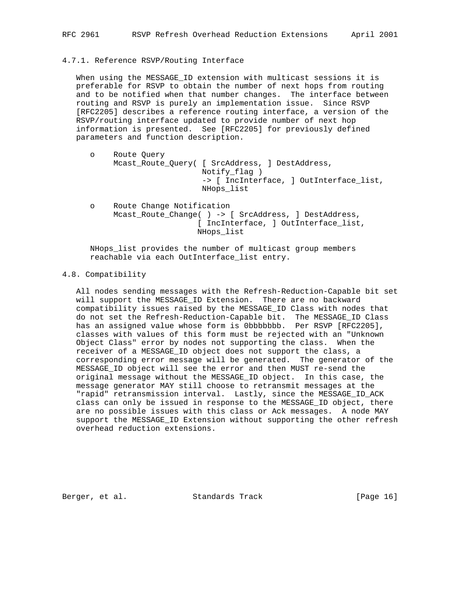### 4.7.1. Reference RSVP/Routing Interface

 When using the MESSAGE\_ID extension with multicast sessions it is preferable for RSVP to obtain the number of next hops from routing and to be notified when that number changes. The interface between routing and RSVP is purely an implementation issue. Since RSVP [RFC2205] describes a reference routing interface, a version of the RSVP/routing interface updated to provide number of next hop information is presented. See [RFC2205] for previously defined parameters and function description.

- o Route Query Mcast\_Route\_Query( [ SrcAddress, ] DestAddress, Notify\_flag ) -> [ IncInterface, ] OutInterface\_list, NHops\_list o Route Change Notification
- Mcast\_Route\_Change( ) -> [ SrcAddress, ] DestAddress, [ IncInterface, ] OutInterface\_list, NHops\_list

 NHops\_list provides the number of multicast group members reachable via each OutInterface\_list entry.

#### 4.8. Compatibility

 All nodes sending messages with the Refresh-Reduction-Capable bit set will support the MESSAGE\_ID Extension. There are no backward compatibility issues raised by the MESSAGE\_ID Class with nodes that do not set the Refresh-Reduction-Capable bit. The MESSAGE\_ID Class has an assigned value whose form is 0bbbbbbb. Per RSVP [RFC2205], classes with values of this form must be rejected with an "Unknown Object Class" error by nodes not supporting the class. When the receiver of a MESSAGE\_ID object does not support the class, a corresponding error message will be generated. The generator of the MESSAGE ID object will see the error and then MUST re-send the original message without the MESSAGE\_ID object. In this case, the message generator MAY still choose to retransmit messages at the "rapid" retransmission interval. Lastly, since the MESSAGE\_ID\_ACK class can only be issued in response to the MESSAGE\_ID object, there are no possible issues with this class or Ack messages. A node MAY support the MESSAGE\_ID Extension without supporting the other refresh overhead reduction extensions.

Berger, et al. Standards Track [Page 16]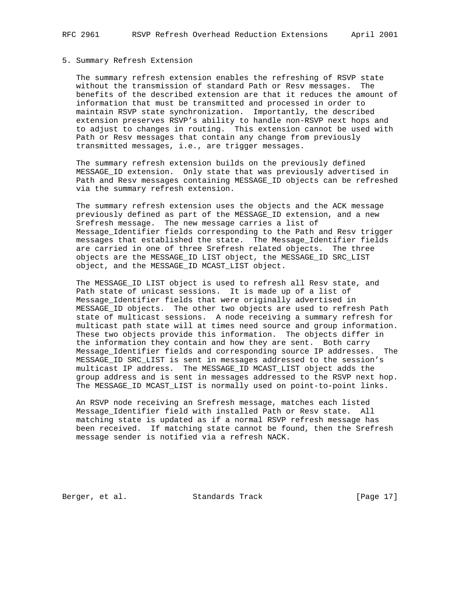## 5. Summary Refresh Extension

 The summary refresh extension enables the refreshing of RSVP state without the transmission of standard Path or Resv messages. The benefits of the described extension are that it reduces the amount of information that must be transmitted and processed in order to maintain RSVP state synchronization. Importantly, the described extension preserves RSVP's ability to handle non-RSVP next hops and to adjust to changes in routing. This extension cannot be used with Path or Resv messages that contain any change from previously transmitted messages, i.e., are trigger messages.

 The summary refresh extension builds on the previously defined MESSAGE\_ID extension. Only state that was previously advertised in Path and Resv messages containing MESSAGE\_ID objects can be refreshed via the summary refresh extension.

 The summary refresh extension uses the objects and the ACK message previously defined as part of the MESSAGE\_ID extension, and a new Srefresh message. The new message carries a list of Message\_Identifier fields corresponding to the Path and Resv trigger messages that established the state. The Message\_Identifier fields are carried in one of three Srefresh related objects. The three objects are the MESSAGE\_ID LIST object, the MESSAGE\_ID SRC\_LIST object, and the MESSAGE\_ID MCAST\_LIST object.

 The MESSAGE\_ID LIST object is used to refresh all Resv state, and Path state of unicast sessions. It is made up of a list of Message\_Identifier fields that were originally advertised in MESSAGE\_ID objects. The other two objects are used to refresh Path state of multicast sessions. A node receiving a summary refresh for multicast path state will at times need source and group information. These two objects provide this information. The objects differ in the information they contain and how they are sent. Both carry Message\_Identifier fields and corresponding source IP addresses. The MESSAGE\_ID SRC\_LIST is sent in messages addressed to the session's multicast IP address. The MESSAGE\_ID MCAST\_LIST object adds the group address and is sent in messages addressed to the RSVP next hop. The MESSAGE\_ID MCAST\_LIST is normally used on point-to-point links.

 An RSVP node receiving an Srefresh message, matches each listed Message\_Identifier field with installed Path or Resv state. All matching state is updated as if a normal RSVP refresh message has been received. If matching state cannot be found, then the Srefresh message sender is notified via a refresh NACK.

Berger, et al. Standards Track [Page 17]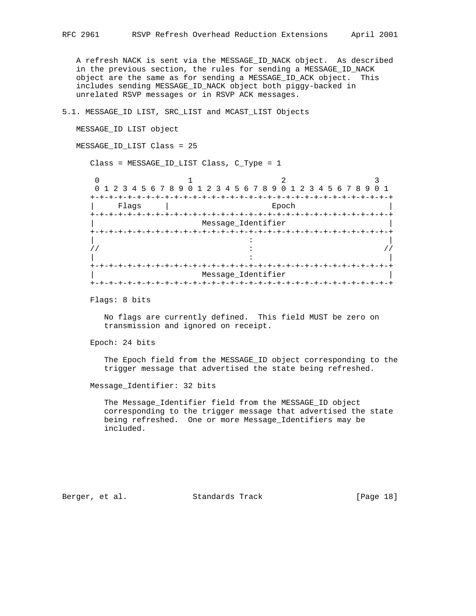A refresh NACK is sent via the MESSAGE\_ID\_NACK object. As described in the previous section, the rules for sending a MESSAGE\_ID\_NACK object are the same as for sending a MESSAGE\_ID\_ACK object. This includes sending MESSAGE\_ID\_NACK object both piggy-backed in unrelated RSVP messages or in RSVP ACK messages.

# 5.1. MESSAGE\_ID LIST, SRC\_LIST and MCAST\_LIST Objects

MESSAGE\_ID LIST object

MESSAGE\_ID\_LIST Class = 25

Class = MESSAGE\_ID\_LIST Class, C\_Type = 1

|               | 0 1 2 3 4 5 6 7 8 9 0 1 2 3 4 5 6 7 8 9 0 1 2 3 4 5 6 7 8 9 0 1 |                    |  |  |
|---------------|-----------------------------------------------------------------|--------------------|--|--|
|               |                                                                 |                    |  |  |
| Flaqs<br>$+-$ |                                                                 | Epoch              |  |  |
|               |                                                                 | Message_Identifier |  |  |
|               |                                                                 |                    |  |  |
|               |                                                                 |                    |  |  |
|               |                                                                 |                    |  |  |
|               |                                                                 |                    |  |  |
| $+ - + - +$   |                                                                 |                    |  |  |
|               |                                                                 | Message_Identifier |  |  |
| $+-+$         |                                                                 |                    |  |  |

Flags: 8 bits

 No flags are currently defined. This field MUST be zero on transmission and ignored on receipt.

Epoch: 24 bits

 The Epoch field from the MESSAGE\_ID object corresponding to the trigger message that advertised the state being refreshed.

Message\_Identifier: 32 bits

 The Message\_Identifier field from the MESSAGE\_ID object corresponding to the trigger message that advertised the state being refreshed. One or more Message\_Identifiers may be included.

Berger, et al. Standards Track [Page 18]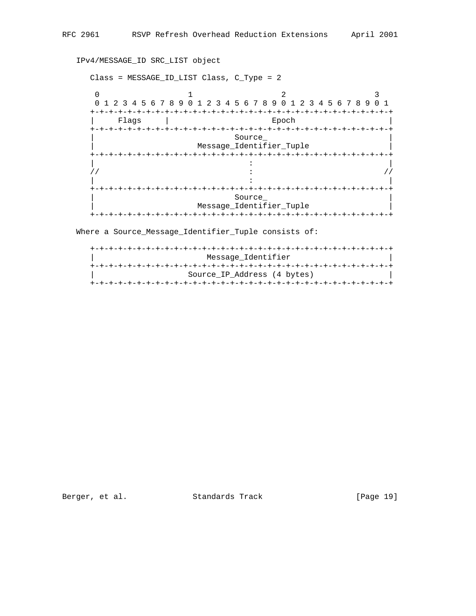IPv4/MESSAGE\_ID SRC\_LIST object

 Class = MESSAGE\_ID\_LIST Class, C\_Type = 2  $0$  1 2 3 0 1 2 3 4 5 6 7 8 9 0 1 2 3 4 5 6 7 8 9 0 1 2 3 4 5 6 7 8 9 0 1 +-+-+-+-+-+-+-+-+-+-+-+-+-+-+-+-+-+-+-+-+-+-+-+-+-+-+-+-+-+-+-+-+ | Flags | Epoch | +-+-+-+-+-+-+-+-+-+-+-+-+-+-+-+-+-+-+-+-+-+-+-+-+-+-+-+-+-+-+-+-+ | Source\_ | | Message\_Identifier\_Tuple | +-+-+-+-+-+-+-+-+-+-+-+-+-+-+-+-+-+-+-+-+-+-+-+-+-+-+-+-+-+-+-+-+ | : |  $\frac{1}{2}$  //  $\frac{1}{2}$  //  $\frac{1}{2}$  //  $\frac{1}{2}$  //  $\frac{1}{2}$  //  $\frac{1}{2}$  //  $\frac{1}{2}$  //  $\frac{1}{2}$  //  $\frac{1}{2}$  //  $\frac{1}{2}$  //  $\frac{1}{2}$  //  $\frac{1}{2}$  //  $\frac{1}{2}$  //  $\frac{1}{2}$  //  $\frac{1}{2}$  //  $\frac{1}{2}$  //  $\frac{1}{2}$  // | : | +-+-+-+-+-+-+-+-+-+-+-+-+-+-+-+-+-+-+-+-+-+-+-+-+-+-+-+-+-+-+-+-+ Source\_ Message\_Identifier\_Tuple +-+-+-+-+-+-+-+-+-+-+-+-+-+-+-+-+-+-+-+-+-+-+-+-+-+-+-+-+-+-+-+-+

Where a Source\_Message\_Identifier\_Tuple consists of:

| Message Identifier          |
|-----------------------------|
|                             |
| Source IP Address (4 bytes) |
|                             |

Berger, et al. Standards Track [Page 19]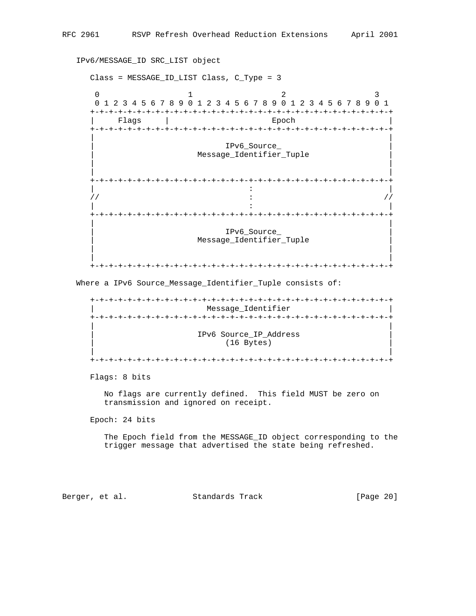IPv6/MESSAGE\_ID SRC\_LIST object

 Class = MESSAGE\_ID\_LIST Class, C\_Type = 3  $0$  1 2 3 0 1 2 3 4 5 6 7 8 9 0 1 2 3 4 5 6 7 8 9 0 1 2 3 4 5 6 7 8 9 0 1 +-+-+-+-+-+-+-+-+-+-+-+-+-+-+-+-+-+-+-+-+-+-+-+-+-+-+-+-+-+-+-+-+ | Flags | Epoch | Epoch | Epoch | Epoch | Epoch | Epoch | Epoch | Epoch | Epoch | Epoch | Epoch | Epoch | Epoch +-+-+-+-+-+-+-+-+-+-+-+-+-+-+-+-+-+-+-+-+-+-+-+-+-+-+-+-+-+-+-+-+ | | | IPv6\_Source\_ | | Message\_Identifier\_Tuple | | | | | +-+-+-+-+-+-+-+-+-+-+-+-+-+-+-+-+-+-+-+-+-+-+-+-+-+-+-+-+-+-+-+-+ | : |  $\frac{1}{2}$  //  $\frac{1}{2}$  //  $\frac{1}{2}$  //  $\frac{1}{2}$  //  $\frac{1}{2}$  //  $\frac{1}{2}$  //  $\frac{1}{2}$  //  $\frac{1}{2}$  //  $\frac{1}{2}$  //  $\frac{1}{2}$  //  $\frac{1}{2}$  //  $\frac{1}{2}$  //  $\frac{1}{2}$  //  $\frac{1}{2}$  //  $\frac{1}{2}$  //  $\frac{1}{2}$  //  $\frac{1}{2}$  // | : | +-+-+-+-+-+-+-+-+-+-+-+-+-+-+-+-+-+-+-+-+-+-+-+-+-+-+-+-+-+-+-+-+ | | | IPv6\_Source\_ | | Message\_Identifier\_Tuple | | | | |

Where a IPv6 Source\_Message\_Identifier\_Tuple consists of:

 +-+-+-+-+-+-+-+-+-+-+-+-+-+-+-+-+-+-+-+-+-+-+-+-+-+-+-+-+-+-+-+-+ Message\_Identifier +-+-+-+-+-+-+-+-+-+-+-+-+-+-+-+-+-+-+-+-+-+-+-+-+-+-+-+-+-+-+-+-+ | | | IPv6 Source\_IP\_Address | (16 Bytes) | | +-+-+-+-+-+-+-+-+-+-+-+-+-+-+-+-+-+-+-+-+-+-+-+-+-+-+-+-+-+-+-+-+

+-+-+-+-+-+-+-+-+-+-+-+-+-+-+-+-+-+-+-+-+-+-+-+-+-+-+-+-+-+-+-+-+

Flags: 8 bits

 No flags are currently defined. This field MUST be zero on transmission and ignored on receipt.

Epoch: 24 bits

 The Epoch field from the MESSAGE\_ID object corresponding to the trigger message that advertised the state being refreshed.

Berger, et al. Standards Track [Page 20]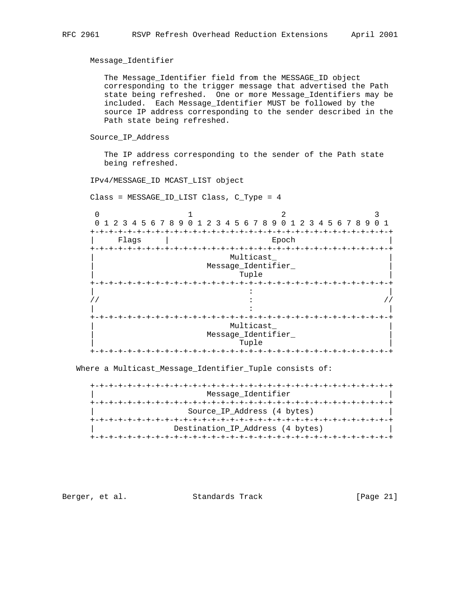Message\_Identifier

 The Message\_Identifier field from the MESSAGE\_ID object corresponding to the trigger message that advertised the Path state being refreshed. One or more Message\_Identifiers may be included. Each Message\_Identifier MUST be followed by the source IP address corresponding to the sender described in the Path state being refreshed.

Source\_IP\_Address

 The IP address corresponding to the sender of the Path state being refreshed.

IPv4/MESSAGE\_ID MCAST\_LIST object

Class = MESSAGE\_ID\_LIST Class, C\_Type = 4

 $0$  1 2 3 0 1 2 3 4 5 6 7 8 9 0 1 2 3 4 5 6 7 8 9 0 1 2 3 4 5 6 7 8 9 0 1 +-+-+-+-+-+-+-+-+-+-+-+-+-+-+-+-+-+-+-+-+-+-+-+-+-+-+-+-+-+-+-+-+ | Flags | Epoch | +-+-+-+-+-+-+-+-+-+-+-+-+-+-+-+-+-+-+-+-+-+-+-+-+-+-+-+-+-+-+-+-+ Multicast\_ Message\_Identifier\_ | Tuple | +-+-+-+-+-+-+-+-+-+-+-+-+-+-+-+-+-+-+-+-+-+-+-+-+-+-+-+-+-+-+-+-+ | : |  $\frac{1}{2}$  //  $\frac{1}{2}$  //  $\frac{1}{2}$  //  $\frac{1}{2}$  //  $\frac{1}{2}$  //  $\frac{1}{2}$  //  $\frac{1}{2}$  //  $\frac{1}{2}$  //  $\frac{1}{2}$  //  $\frac{1}{2}$  //  $\frac{1}{2}$  //  $\frac{1}{2}$  //  $\frac{1}{2}$  //  $\frac{1}{2}$  //  $\frac{1}{2}$  //  $\frac{1}{2}$  //  $\frac{1}{2}$  // | : | +-+-+-+-+-+-+-+-+-+-+-+-+-+-+-+-+-+-+-+-+-+-+-+-+-+-+-+-+-+-+-+-+ Multicast\_ Message\_Identifier\_  $\lceil$  Tuple  $\lceil$  Tuple  $\lceil$ +-+-+-+-+-+-+-+-+-+-+-+-+-+-+-+-+-+-+-+-+-+-+-+-+-+-+-+-+-+-+-+-+

Where a Multicast\_Message\_Identifier\_Tuple consists of:

| Message Identifier               |
|----------------------------------|
| +-+-+-+-+-+-+-+-+-+-+-+-+        |
| Source IP Address (4 bytes)      |
|                                  |
| Destination IP Address (4 bytes) |
|                                  |

Berger, et al. Standards Track [Page 21]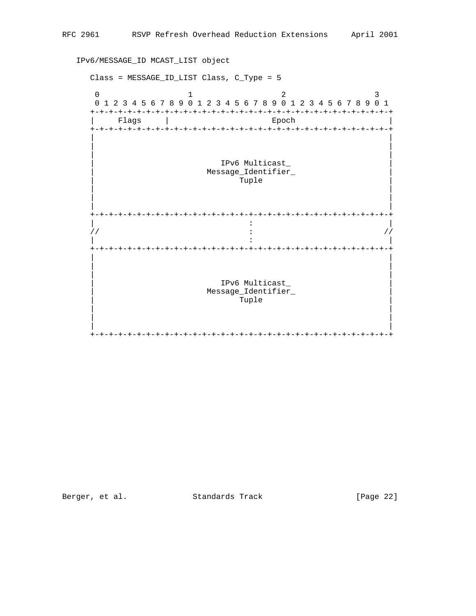IPv6/MESSAGE\_ID MCAST\_LIST object

```
 Class = MESSAGE_ID_LIST Class, C_Type = 5
0 1 2 3
    0 1 2 3 4 5 6 7 8 9 0 1 2 3 4 5 6 7 8 9 0 1 2 3 4 5 6 7 8 9 0 1
    +-+-+-+-+-+-+-+-+-+-+-+-+-+-+-+-+-+-+-+-+-+-+-+-+-+-+-+-+-+-+-+-+
     | Flags | Epoch | Epoch | Epoch | Epoch | Epoch | Epoch | Epoch | Epoch | Epoch | Epoch | Epoch | Epoch | Epoch
    +-+-+-+-+-+-+-+-+-+-+-+-+-+-+-+-+-+-+-+-+-+-+-+-+-+-+-+-+-+-+-+-+
 | |
 | |
 | |
                   | IPv6 Multicast_ |
                 Message_Identifier_
\lceil and \lceil \lceil \lceil \lceil \lceil \lceil \lceil \lceil \lceil \lceil \lceil \lceil \lceil \lceil \lceil \lceil \lceil \lceil \lceil \lceil \lceil \lceil \lceil \lceil \lceil \lceil \lceil \lceil \lceil \lceil \lceil \lceil \lceil \lceil \lceil  | |
 | |
 | |
    +-+-+-+-+-+-+-+-+-+-+-+-+-+-+-+-+-+-+-+-+-+-+-+-+-+-+-+-+-+-+-+-+
 | : |
\frac{1}{2} : \frac{1}{2} //
 | : |
    +-+-+-+-+-+-+-+-+-+-+-+-+-+-+-+-+-+-+-+-+-+-+-+-+-+-+-+-+-+-+-+-+
 | |
 | |
 | |
                   | IPv6 Multicast_ |
                 Message_Identifier_
                    Tuple
 | |
 | |
 | |
    +-+-+-+-+-+-+-+-+-+-+-+-+-+-+-+-+-+-+-+-+-+-+-+-+-+-+-+-+-+-+-+-+
```
Berger, et al. Standards Track [Page 22]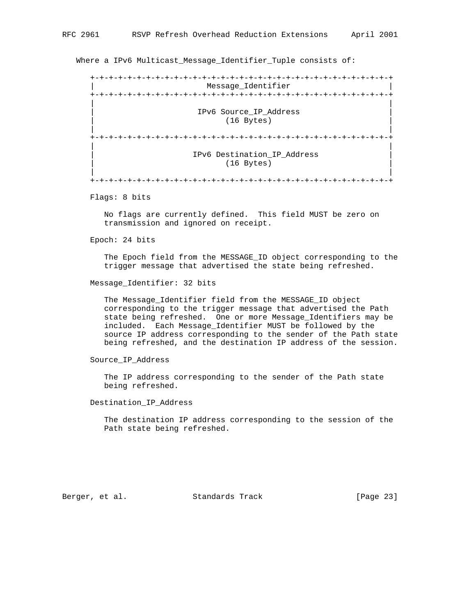Where a IPv6 Multicast\_Message\_Identifier\_Tuple consists of:

 +-+-+-+-+-+-+-+-+-+-+-+-+-+-+-+-+-+-+-+-+-+-+-+-+-+-+-+-+-+-+-+-+ | Message\_Identifier | +-+-+-+-+-+-+-+-+-+-+-+-+-+-+-+-+-+-+-+-+-+-+-+-+-+-+-+-+-+-+-+-+ | | | IPv6 Source\_IP\_Address | | (16 Bytes) | | | +-+-+-+-+-+-+-+-+-+-+-+-+-+-+-+-+-+-+-+-+-+-+-+-+-+-+-+-+-+-+-+-+ | | | IPv6 Destination\_IP\_Address | | (16 Bytes) | | | +-+-+-+-+-+-+-+-+-+-+-+-+-+-+-+-+-+-+-+-+-+-+-+-+-+-+-+-+-+-+-+-+

Flags: 8 bits

 No flags are currently defined. This field MUST be zero on transmission and ignored on receipt.

Epoch: 24 bits

 The Epoch field from the MESSAGE\_ID object corresponding to the trigger message that advertised the state being refreshed.

Message\_Identifier: 32 bits

 The Message\_Identifier field from the MESSAGE\_ID object corresponding to the trigger message that advertised the Path state being refreshed. One or more Message\_Identifiers may be included. Each Message\_Identifier MUST be followed by the source IP address corresponding to the sender of the Path state being refreshed, and the destination IP address of the session.

Source\_IP\_Address

 The IP address corresponding to the sender of the Path state being refreshed.

Destination\_IP\_Address

 The destination IP address corresponding to the session of the Path state being refreshed.

Berger, et al. Standards Track [Page 23]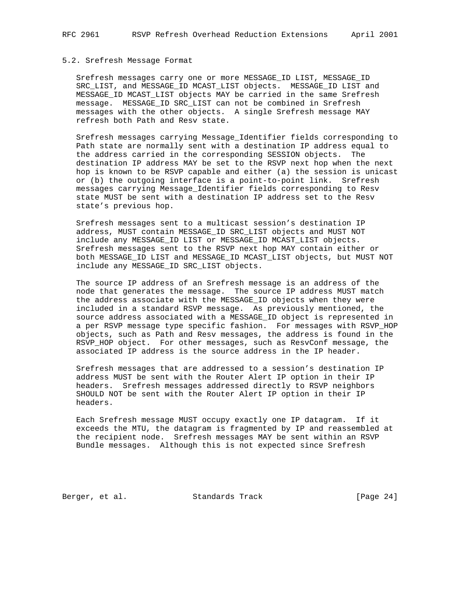### 5.2. Srefresh Message Format

 Srefresh messages carry one or more MESSAGE\_ID LIST, MESSAGE\_ID SRC\_LIST, and MESSAGE\_ID MCAST\_LIST objects. MESSAGE\_ID LIST and MESSAGE\_ID MCAST\_LIST objects MAY be carried in the same Srefresh message. MESSAGE\_ID SRC\_LIST can not be combined in Srefresh messages with the other objects. A single Srefresh message MAY refresh both Path and Resv state.

 Srefresh messages carrying Message\_Identifier fields corresponding to Path state are normally sent with a destination IP address equal to the address carried in the corresponding SESSION objects. The destination IP address MAY be set to the RSVP next hop when the next hop is known to be RSVP capable and either (a) the session is unicast or (b) the outgoing interface is a point-to-point link. Srefresh messages carrying Message\_Identifier fields corresponding to Resv state MUST be sent with a destination IP address set to the Resv state's previous hop.

 Srefresh messages sent to a multicast session's destination IP address, MUST contain MESSAGE\_ID SRC\_LIST objects and MUST NOT include any MESSAGE\_ID LIST or MESSAGE\_ID MCAST\_LIST objects. Srefresh messages sent to the RSVP next hop MAY contain either or both MESSAGE\_ID LIST and MESSAGE\_ID MCAST\_LIST objects, but MUST NOT include any MESSAGE\_ID SRC\_LIST objects.

 The source IP address of an Srefresh message is an address of the node that generates the message. The source IP address MUST match the address associate with the MESSAGE\_ID objects when they were included in a standard RSVP message. As previously mentioned, the source address associated with a MESSAGE\_ID object is represented in a per RSVP message type specific fashion. For messages with RSVP\_HOP objects, such as Path and Resv messages, the address is found in the RSVP HOP object. For other messages, such as ResvConf message, the associated IP address is the source address in the IP header.

 Srefresh messages that are addressed to a session's destination IP address MUST be sent with the Router Alert IP option in their IP headers. Srefresh messages addressed directly to RSVP neighbors SHOULD NOT be sent with the Router Alert IP option in their IP headers.

 Each Srefresh message MUST occupy exactly one IP datagram. If it exceeds the MTU, the datagram is fragmented by IP and reassembled at the recipient node. Srefresh messages MAY be sent within an RSVP Bundle messages. Although this is not expected since Srefresh

Berger, et al. Standards Track [Page 24]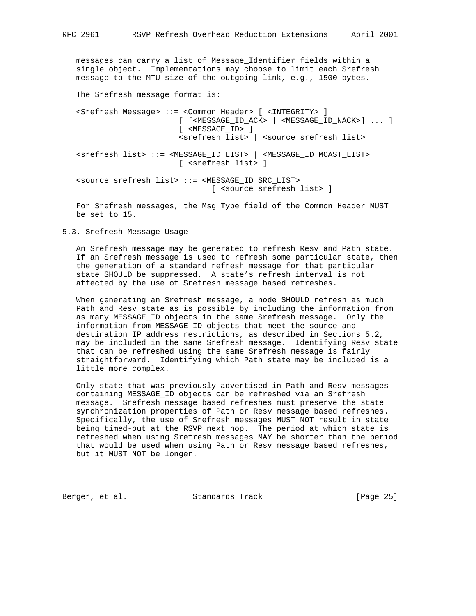messages can carry a list of Message\_Identifier fields within a single object. Implementations may choose to limit each Srefresh message to the MTU size of the outgoing link, e.g., 1500 bytes.

The Srefresh message format is:

 <Srefresh Message> ::= <Common Header> [ <INTEGRITY> ] [ [<MESSAGE\_ID\_ACK> | <MESSAGE\_ID\_NACK>] ... ] [ <MESSAGE\_ID> ] <srefresh list> | <source srefresh list>

 <srefresh list> ::= <MESSAGE\_ID LIST> | <MESSAGE\_ID MCAST\_LIST> [ <srefresh list> ]

 <source srefresh list> ::= <MESSAGE\_ID SRC\_LIST> [ <source srefresh list> ]

 For Srefresh messages, the Msg Type field of the Common Header MUST be set to 15.

5.3. Srefresh Message Usage

 An Srefresh message may be generated to refresh Resv and Path state. If an Srefresh message is used to refresh some particular state, then the generation of a standard refresh message for that particular state SHOULD be suppressed. A state's refresh interval is not affected by the use of Srefresh message based refreshes.

 When generating an Srefresh message, a node SHOULD refresh as much Path and Resv state as is possible by including the information from as many MESSAGE\_ID objects in the same Srefresh message. Only the information from MESSAGE\_ID objects that meet the source and destination IP address restrictions, as described in Sections 5.2, may be included in the same Srefresh message. Identifying Resv state that can be refreshed using the same Srefresh message is fairly straightforward. Identifying which Path state may be included is a little more complex.

 Only state that was previously advertised in Path and Resv messages containing MESSAGE\_ID objects can be refreshed via an Srefresh message. Srefresh message based refreshes must preserve the state synchronization properties of Path or Resv message based refreshes. Specifically, the use of Srefresh messages MUST NOT result in state being timed-out at the RSVP next hop. The period at which state is refreshed when using Srefresh messages MAY be shorter than the period that would be used when using Path or Resv message based refreshes, but it MUST NOT be longer.

Berger, et al. Standards Track [Page 25]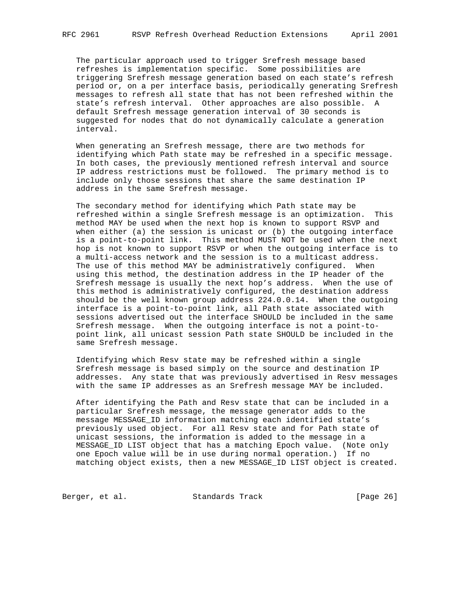The particular approach used to trigger Srefresh message based refreshes is implementation specific. Some possibilities are triggering Srefresh message generation based on each state's refresh period or, on a per interface basis, periodically generating Srefresh messages to refresh all state that has not been refreshed within the state's refresh interval. Other approaches are also possible. A default Srefresh message generation interval of 30 seconds is suggested for nodes that do not dynamically calculate a generation interval.

 When generating an Srefresh message, there are two methods for identifying which Path state may be refreshed in a specific message. In both cases, the previously mentioned refresh interval and source IP address restrictions must be followed. The primary method is to include only those sessions that share the same destination IP address in the same Srefresh message.

 The secondary method for identifying which Path state may be refreshed within a single Srefresh message is an optimization. This method MAY be used when the next hop is known to support RSVP and when either (a) the session is unicast or (b) the outgoing interface is a point-to-point link. This method MUST NOT be used when the next hop is not known to support RSVP or when the outgoing interface is to a multi-access network and the session is to a multicast address. The use of this method MAY be administratively configured. When using this method, the destination address in the IP header of the Srefresh message is usually the next hop's address. When the use of this method is administratively configured, the destination address should be the well known group address 224.0.0.14. When the outgoing interface is a point-to-point link, all Path state associated with sessions advertised out the interface SHOULD be included in the same Srefresh message. When the outgoing interface is not a point-to point link, all unicast session Path state SHOULD be included in the same Srefresh message.

 Identifying which Resv state may be refreshed within a single Srefresh message is based simply on the source and destination IP addresses. Any state that was previously advertised in Resv messages with the same IP addresses as an Srefresh message MAY be included.

 After identifying the Path and Resv state that can be included in a particular Srefresh message, the message generator adds to the message MESSAGE\_ID information matching each identified state's previously used object. For all Resv state and for Path state of unicast sessions, the information is added to the message in a MESSAGE\_ID LIST object that has a matching Epoch value. (Note only one Epoch value will be in use during normal operation.) If no matching object exists, then a new MESSAGE\_ID LIST object is created.

Berger, et al. Standards Track [Page 26]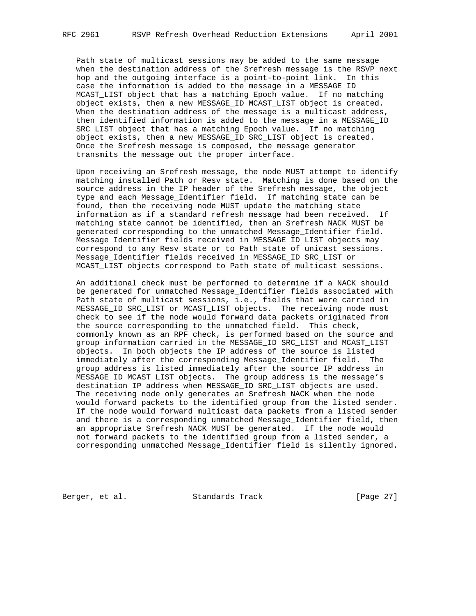Path state of multicast sessions may be added to the same message when the destination address of the Srefresh message is the RSVP next hop and the outgoing interface is a point-to-point link. In this case the information is added to the message in a MESSAGE\_ID MCAST\_LIST object that has a matching Epoch value. If no matching object exists, then a new MESSAGE\_ID MCAST\_LIST object is created. When the destination address of the message is a multicast address, then identified information is added to the message in a MESSAGE\_ID SRC\_LIST object that has a matching Epoch value. If no matching object exists, then a new MESSAGE\_ID SRC\_LIST object is created. Once the Srefresh message is composed, the message generator transmits the message out the proper interface.

 Upon receiving an Srefresh message, the node MUST attempt to identify matching installed Path or Resv state. Matching is done based on the source address in the IP header of the Srefresh message, the object type and each Message\_Identifier field. If matching state can be found, then the receiving node MUST update the matching state information as if a standard refresh message had been received. If matching state cannot be identified, then an Srefresh NACK MUST be generated corresponding to the unmatched Message\_Identifier field. Message\_Identifier fields received in MESSAGE\_ID LIST objects may correspond to any Resv state or to Path state of unicast sessions. Message\_Identifier fields received in MESSAGE\_ID SRC\_LIST or MCAST\_LIST objects correspond to Path state of multicast sessions.

 An additional check must be performed to determine if a NACK should be generated for unmatched Message Identifier fields associated with Path state of multicast sessions, i.e., fields that were carried in MESSAGE\_ID SRC\_LIST or MCAST\_LIST objects. The receiving node must check to see if the node would forward data packets originated from the source corresponding to the unmatched field. This check, commonly known as an RPF check, is performed based on the source and group information carried in the MESSAGE\_ID SRC\_LIST and MCAST\_LIST objects. In both objects the IP address of the source is listed immediately after the corresponding Message\_Identifier field. The group address is listed immediately after the source IP address in MESSAGE\_ID MCAST\_LIST objects. The group address is the message's destination IP address when MESSAGE\_ID SRC\_LIST objects are used. The receiving node only generates an Srefresh NACK when the node would forward packets to the identified group from the listed sender. If the node would forward multicast data packets from a listed sender and there is a corresponding unmatched Message\_Identifier field, then an appropriate Srefresh NACK MUST be generated. If the node would not forward packets to the identified group from a listed sender, a corresponding unmatched Message\_Identifier field is silently ignored.

Berger, et al. Standards Track [Page 27]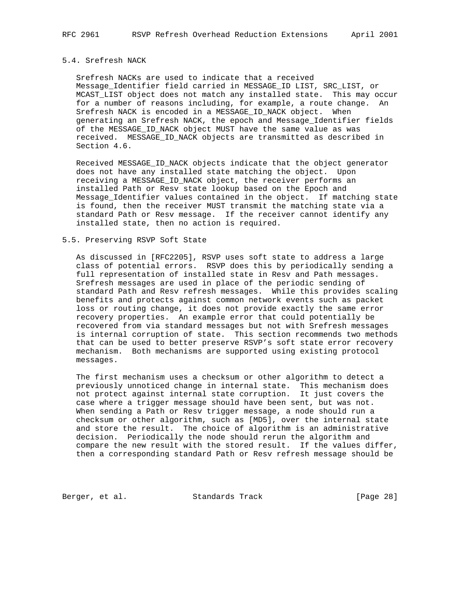# 5.4. Srefresh NACK

 Srefresh NACKs are used to indicate that a received Message\_Identifier field carried in MESSAGE\_ID LIST, SRC\_LIST, or MCAST\_LIST object does not match any installed state. This may occur for a number of reasons including, for example, a route change. An Srefresh NACK is encoded in a MESSAGE\_ID\_NACK object. When generating an Srefresh NACK, the epoch and Message\_Identifier fields of the MESSAGE\_ID\_NACK object MUST have the same value as was received. MESSAGE\_ID\_NACK objects are transmitted as described in Section 4.6.

 Received MESSAGE\_ID\_NACK objects indicate that the object generator does not have any installed state matching the object. Upon receiving a MESSAGE\_ID\_NACK object, the receiver performs an installed Path or Resv state lookup based on the Epoch and Message\_Identifier values contained in the object. If matching state is found, then the receiver MUST transmit the matching state via a standard Path or Resv message. If the receiver cannot identify any installed state, then no action is required.

# 5.5. Preserving RSVP Soft State

 As discussed in [RFC2205], RSVP uses soft state to address a large class of potential errors. RSVP does this by periodically sending a full representation of installed state in Resv and Path messages. Srefresh messages are used in place of the periodic sending of standard Path and Resv refresh messages. While this provides scaling benefits and protects against common network events such as packet loss or routing change, it does not provide exactly the same error recovery properties. An example error that could potentially be recovered from via standard messages but not with Srefresh messages is internal corruption of state. This section recommends two methods that can be used to better preserve RSVP's soft state error recovery mechanism. Both mechanisms are supported using existing protocol messages.

 The first mechanism uses a checksum or other algorithm to detect a previously unnoticed change in internal state. This mechanism does not protect against internal state corruption. It just covers the case where a trigger message should have been sent, but was not. When sending a Path or Resv trigger message, a node should run a checksum or other algorithm, such as [MD5], over the internal state and store the result. The choice of algorithm is an administrative decision. Periodically the node should rerun the algorithm and compare the new result with the stored result. If the values differ, then a corresponding standard Path or Resv refresh message should be

Berger, et al. Standards Track [Page 28]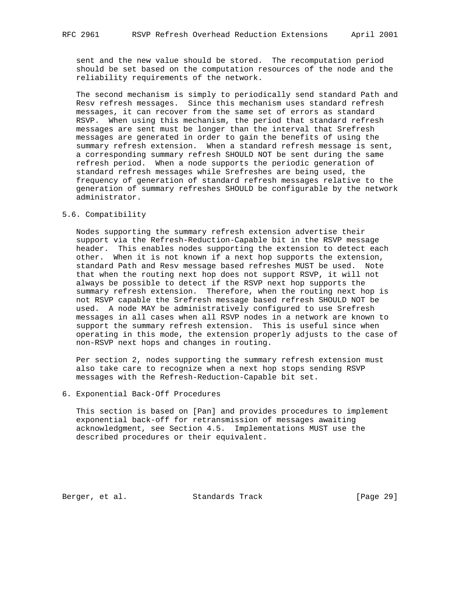sent and the new value should be stored. The recomputation period should be set based on the computation resources of the node and the reliability requirements of the network.

 The second mechanism is simply to periodically send standard Path and Resv refresh messages. Since this mechanism uses standard refresh messages, it can recover from the same set of errors as standard RSVP. When using this mechanism, the period that standard refresh messages are sent must be longer than the interval that Srefresh messages are generated in order to gain the benefits of using the summary refresh extension. When a standard refresh message is sent, a corresponding summary refresh SHOULD NOT be sent during the same refresh period. When a node supports the periodic generation of standard refresh messages while Srefreshes are being used, the frequency of generation of standard refresh messages relative to the generation of summary refreshes SHOULD be configurable by the network administrator.

#### 5.6. Compatibility

 Nodes supporting the summary refresh extension advertise their support via the Refresh-Reduction-Capable bit in the RSVP message header. This enables nodes supporting the extension to detect each other. When it is not known if a next hop supports the extension, standard Path and Resv message based refreshes MUST be used. Note that when the routing next hop does not support RSVP, it will not always be possible to detect if the RSVP next hop supports the summary refresh extension. Therefore, when the routing next hop is not RSVP capable the Srefresh message based refresh SHOULD NOT be used. A node MAY be administratively configured to use Srefresh messages in all cases when all RSVP nodes in a network are known to support the summary refresh extension. This is useful since when operating in this mode, the extension properly adjusts to the case of non-RSVP next hops and changes in routing.

 Per section 2, nodes supporting the summary refresh extension must also take care to recognize when a next hop stops sending RSVP messages with the Refresh-Reduction-Capable bit set.

# 6. Exponential Back-Off Procedures

 This section is based on [Pan] and provides procedures to implement exponential back-off for retransmission of messages awaiting acknowledgment, see Section 4.5. Implementations MUST use the described procedures or their equivalent.

Berger, et al. Standards Track [Page 29]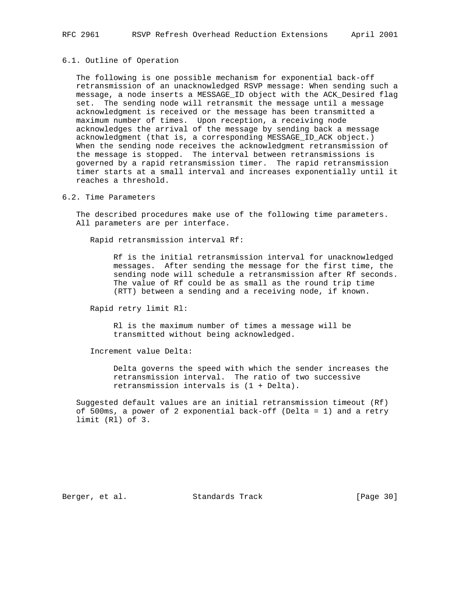### 6.1. Outline of Operation

 The following is one possible mechanism for exponential back-off retransmission of an unacknowledged RSVP message: When sending such a message, a node inserts a MESSAGE\_ID object with the ACK\_Desired flag set. The sending node will retransmit the message until a message acknowledgment is received or the message has been transmitted a maximum number of times. Upon reception, a receiving node acknowledges the arrival of the message by sending back a message acknowledgment (that is, a corresponding MESSAGE\_ID\_ACK object.) When the sending node receives the acknowledgment retransmission of the message is stopped. The interval between retransmissions is governed by a rapid retransmission timer. The rapid retransmission timer starts at a small interval and increases exponentially until it reaches a threshold.

## 6.2. Time Parameters

 The described procedures make use of the following time parameters. All parameters are per interface.

Rapid retransmission interval Rf:

 Rf is the initial retransmission interval for unacknowledged messages. After sending the message for the first time, the sending node will schedule a retransmission after Rf seconds. The value of Rf could be as small as the round trip time (RTT) between a sending and a receiving node, if known.

Rapid retry limit Rl:

 Rl is the maximum number of times a message will be transmitted without being acknowledged.

Increment value Delta:

 Delta governs the speed with which the sender increases the retransmission interval. The ratio of two successive retransmission intervals is (1 + Delta).

 Suggested default values are an initial retransmission timeout (Rf) of 500ms, a power of 2 exponential back-off (Delta = 1) and a retry limit (Rl) of 3.

Berger, et al. Standards Track [Page 30]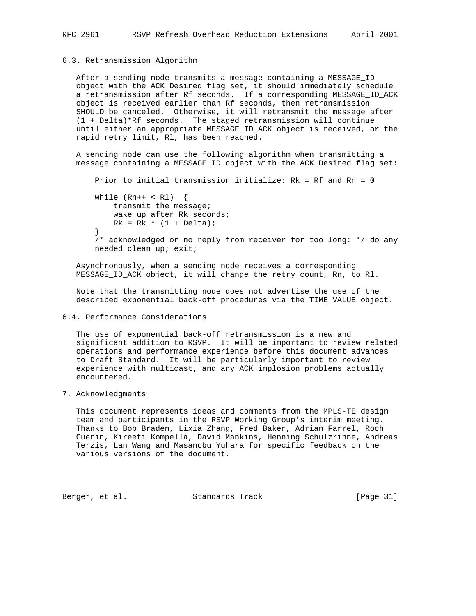#### 6.3. Retransmission Algorithm

 After a sending node transmits a message containing a MESSAGE\_ID object with the ACK\_Desired flag set, it should immediately schedule a retransmission after Rf seconds. If a corresponding MESSAGE\_ID\_ACK object is received earlier than Rf seconds, then retransmission SHOULD be canceled. Otherwise, it will retransmit the message after (1 + Delta)\*Rf seconds. The staged retransmission will continue until either an appropriate MESSAGE\_ID\_ACK object is received, or the rapid retry limit, Rl, has been reached.

 A sending node can use the following algorithm when transmitting a message containing a MESSAGE\_ID object with the ACK\_Desired flag set:

```
 Prior to initial transmission initialize: Rk = Rf and Rn = 0
```
while  $(Rn++ < R1)$  { transmit the message; wake up after Rk seconds;  $Rk = Rk * (1 + \text{Delta})$ ; } /\* acknowledged or no reply from receiver for too long: \*/ do any needed clean up; exit;

 Asynchronously, when a sending node receives a corresponding MESSAGE\_ID\_ACK object, it will change the retry count, Rn, to Rl.

 Note that the transmitting node does not advertise the use of the described exponential back-off procedures via the TIME\_VALUE object.

# 6.4. Performance Considerations

 The use of exponential back-off retransmission is a new and significant addition to RSVP. It will be important to review related operations and performance experience before this document advances to Draft Standard. It will be particularly important to review experience with multicast, and any ACK implosion problems actually encountered.

# 7. Acknowledgments

 This document represents ideas and comments from the MPLS-TE design team and participants in the RSVP Working Group's interim meeting. Thanks to Bob Braden, Lixia Zhang, Fred Baker, Adrian Farrel, Roch Guerin, Kireeti Kompella, David Mankins, Henning Schulzrinne, Andreas Terzis, Lan Wang and Masanobu Yuhara for specific feedback on the various versions of the document.

Berger, et al. Standards Track [Page 31]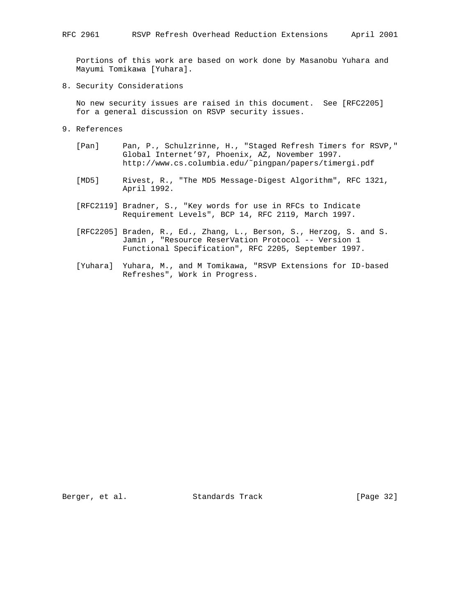Portions of this work are based on work done by Masanobu Yuhara and Mayumi Tomikawa [Yuhara].

8. Security Considerations

 No new security issues are raised in this document. See [RFC2205] for a general discussion on RSVP security issues.

- 9. References
	- [Pan] Pan, P., Schulzrinne, H., "Staged Refresh Timers for RSVP," Global Internet'97, Phoenix, AZ, November 1997. http://www.cs.columbia.edu/˜pingpan/papers/timergi.pdf
	- [MD5] Rivest, R., "The MD5 Message-Digest Algorithm", RFC 1321, April 1992.
	- [RFC2119] Bradner, S., "Key words for use in RFCs to Indicate Requirement Levels", BCP 14, RFC 2119, March 1997.
	- [RFC2205] Braden, R., Ed., Zhang, L., Berson, S., Herzog, S. and S. Jamin , "Resource ReserVation Protocol -- Version 1 Functional Specification", RFC 2205, September 1997.
	- [Yuhara] Yuhara, M., and M Tomikawa, "RSVP Extensions for ID-based Refreshes", Work in Progress.

Berger, et al. Standards Track [Page 32]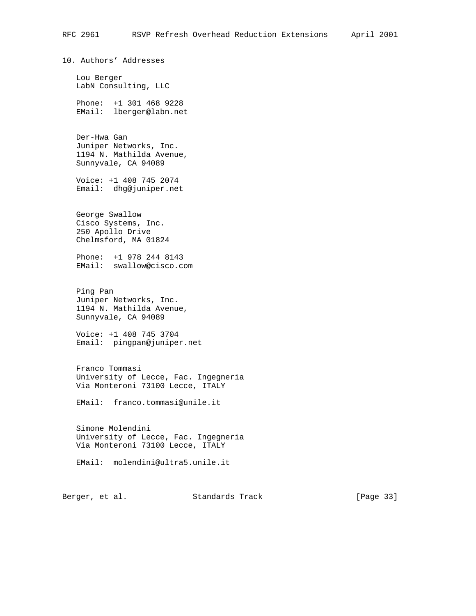10. Authors' Addresses Lou Berger LabN Consulting, LLC Phone: +1 301 468 9228 EMail: lberger@labn.net Der-Hwa Gan Juniper Networks, Inc. 1194 N. Mathilda Avenue, Sunnyvale, CA 94089 Voice: +1 408 745 2074 Email: dhg@juniper.net George Swallow Cisco Systems, Inc. 250 Apollo Drive Chelmsford, MA 01824 Phone: +1 978 244 8143 EMail: swallow@cisco.com Ping Pan Juniper Networks, Inc. 1194 N. Mathilda Avenue, Sunnyvale, CA 94089 Voice: +1 408 745 3704 Email: pingpan@juniper.net Franco Tommasi University of Lecce, Fac. Ingegneria Via Monteroni 73100 Lecce, ITALY EMail: franco.tommasi@unile.it Simone Molendini University of Lecce, Fac. Ingegneria Via Monteroni 73100 Lecce, ITALY EMail: molendini@ultra5.unile.it

Berger, et al. Standards Track [Page 33]